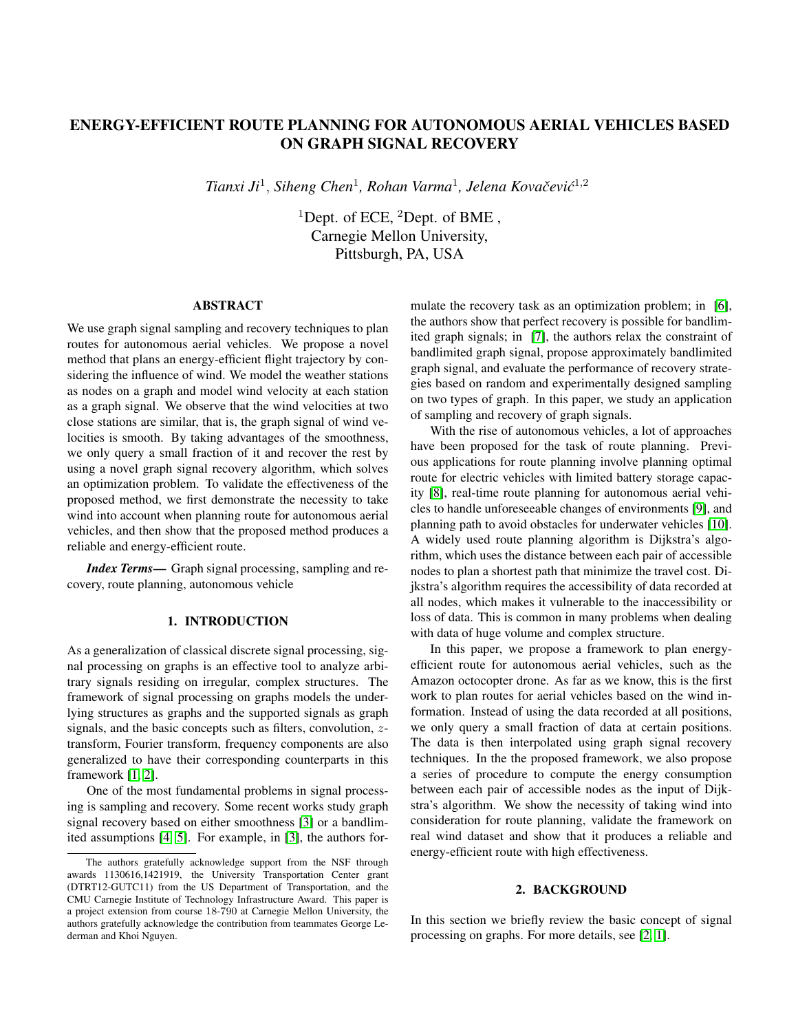# ENERGY-EFFICIENT ROUTE PLANNING FOR AUTONOMOUS AERIAL VEHICLES BASED ON GRAPH SIGNAL RECOVERY

*Tianxi Ji*<sup>1</sup> , *Siheng Chen*<sup>1</sup> *, Rohan Varma*<sup>1</sup> *, Jelena Kovacevi ˇ c´* 1,2

<sup>1</sup>Dept. of ECE, <sup>2</sup>Dept. of BME, Carnegie Mellon University, Pittsburgh, PA, USA

#### ABSTRACT

We use graph signal sampling and recovery techniques to plan routes for autonomous aerial vehicles. We propose a novel method that plans an energy-efficient flight trajectory by considering the influence of wind. We model the weather stations as nodes on a graph and model wind velocity at each station as a graph signal. We observe that the wind velocities at two close stations are similar, that is, the graph signal of wind velocities is smooth. By taking advantages of the smoothness, we only query a small fraction of it and recover the rest by using a novel graph signal recovery algorithm, which solves an optimization problem. To validate the effectiveness of the proposed method, we first demonstrate the necessity to take wind into account when planning route for autonomous aerial vehicles, and then show that the proposed method produces a reliable and energy-efficient route.

*Index Terms*— Graph signal processing, sampling and recovery, route planning, autonomous vehicle

#### 1. INTRODUCTION

As a generalization of classical discrete signal processing, signal processing on graphs is an effective tool to analyze arbitrary signals residing on irregular, complex structures. The framework of signal processing on graphs models the underlying structures as graphs and the supported signals as graph signals, and the basic concepts such as filters, convolution, ztransform, Fourier transform, frequency components are also generalized to have their corresponding counterparts in this framework [\[1,](#page-6-0) [2\]](#page-6-1).

One of the most fundamental problems in signal processing is sampling and recovery. Some recent works study graph signal recovery based on either smoothness [\[3\]](#page-6-2) or a bandlimited assumptions [\[4,](#page-6-3) [5\]](#page-6-4). For example, in [\[3\]](#page-6-2), the authors formulate the recovery task as an optimization problem; in [\[6\]](#page-6-5), the authors show that perfect recovery is possible for bandlimited graph signals; in [\[7\]](#page-6-6), the authors relax the constraint of bandlimited graph signal, propose approximately bandlimited graph signal, and evaluate the performance of recovery strategies based on random and experimentally designed sampling on two types of graph. In this paper, we study an application of sampling and recovery of graph signals.

With the rise of autonomous vehicles, a lot of approaches have been proposed for the task of route planning. Previous applications for route planning involve planning optimal route for electric vehicles with limited battery storage capacity [\[8\]](#page-6-7), real-time route planning for autonomous aerial vehicles to handle unforeseeable changes of environments [\[9\]](#page-6-8), and planning path to avoid obstacles for underwater vehicles [\[10\]](#page-6-9). A widely used route planning algorithm is Dijkstra's algorithm, which uses the distance between each pair of accessible nodes to plan a shortest path that minimize the travel cost. Dijkstra's algorithm requires the accessibility of data recorded at all nodes, which makes it vulnerable to the inaccessibility or loss of data. This is common in many problems when dealing with data of huge volume and complex structure.

In this paper, we propose a framework to plan energyefficient route for autonomous aerial vehicles, such as the Amazon octocopter drone. As far as we know, this is the first work to plan routes for aerial vehicles based on the wind information. Instead of using the data recorded at all positions, we only query a small fraction of data at certain positions. The data is then interpolated using graph signal recovery techniques. In the the proposed framework, we also propose a series of procedure to compute the energy consumption between each pair of accessible nodes as the input of Dijkstra's algorithm. We show the necessity of taking wind into consideration for route planning, validate the framework on real wind dataset and show that it produces a reliable and energy-efficient route with high effectiveness.

# 2. BACKGROUND

In this section we briefly review the basic concept of signal processing on graphs. For more details, see [\[2,](#page-6-1) [1\]](#page-6-0).

The authors gratefully acknowledge support from the NSF through awards 1130616,1421919, the University Transportation Center grant (DTRT12-GUTC11) from the US Department of Transportation, and the CMU Carnegie Institute of Technology Infrastructure Award. This paper is a project extension from course 18-790 at Carnegie Mellon University, the authors gratefully acknowledge the contribution from teammates George Lederman and Khoi Nguyen.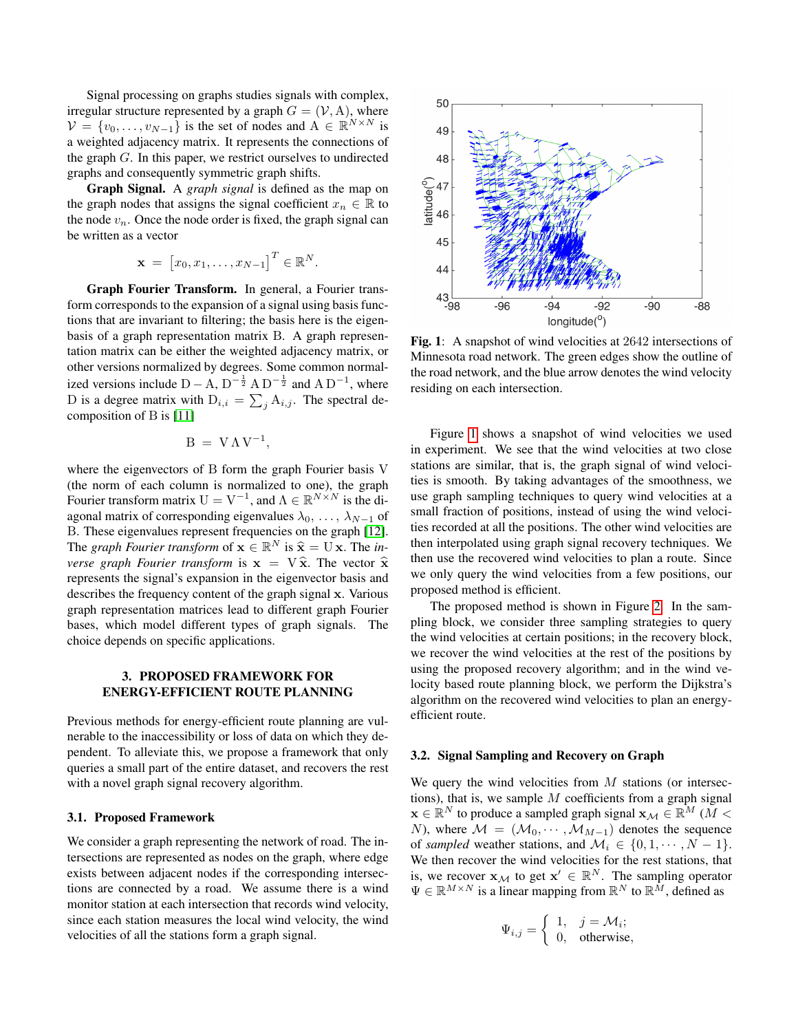Signal processing on graphs studies signals with complex, irregular structure represented by a graph  $G = (\mathcal{V}, A)$ , where  $\mathcal{V} = \{v_0, \dots, v_{N-1}\}\$ is the set of nodes and  $A \in \mathbb{R}^{N \times N}$  is a weighted adjacency matrix. It represents the connections of the graph G. In this paper, we restrict ourselves to undirected graphs and consequently symmetric graph shifts.

Graph Signal. A *graph signal* is defined as the map on the graph nodes that assigns the signal coefficient  $x_n \in \mathbb{R}$  to the node  $v_n$ . Once the node order is fixed, the graph signal can be written as a vector

$$
\mathbf{x} = [x_0, x_1, \dots, x_{N-1}]^T \in \mathbb{R}^N.
$$

Graph Fourier Transform. In general, a Fourier transform corresponds to the expansion of a signal using basis functions that are invariant to filtering; the basis here is the eigenbasis of a graph representation matrix B. A graph representation matrix can be either the weighted adjacency matrix, or other versions normalized by degrees. Some common normalized versions include  $D - A$ ,  $D^{-\frac{1}{2}}$  A  $D^{-\frac{1}{2}}$  and A  $D^{-1}$ , where D is a degree matrix with  $D_{i,i} = \sum_j A_{i,j}$ . The spectral decomposition of B is [\[11\]](#page-6-10)

$$
B\ =\ V\,\Lambda\,V^{-1},
$$

where the eigenvectors of B form the graph Fourier basis V (the norm of each column is normalized to one), the graph Fourier transform matrix  $U = V^{-1}$ , and  $\Lambda \in \mathbb{R}^{N \times N}$  is the diagonal matrix of corresponding eigenvalues  $\lambda_0, \ldots, \lambda_{N-1}$  of B. These eigenvalues represent frequencies on the graph [\[12\]](#page-6-11). The *graph Fourier transform* of  $\mathbf{x} \in \mathbb{R}^N$  is  $\hat{\mathbf{x}} = U \mathbf{x}$ . The *in-*<br>*Name a rank Fourier transform* is  $\mathbf{x} = V \hat{\mathbf{x}}$ . The vector  $\hat{\mathbf{x}}$ *verse graph Fourier transform* is  $x = V \hat{x}$ . The vector  $\hat{x}$ represents the signal's expansion in the eigenvector basis and describes the frequency content of the graph signal x. Various graph representation matrices lead to different graph Fourier bases, which model different types of graph signals. The choice depends on specific applications.

# 3. PROPOSED FRAMEWORK FOR ENERGY-EFFICIENT ROUTE PLANNING

Previous methods for energy-efficient route planning are vulnerable to the inaccessibility or loss of data on which they dependent. To alleviate this, we propose a framework that only queries a small part of the entire dataset, and recovers the rest with a novel graph signal recovery algorithm.

#### 3.1. Proposed Framework

We consider a graph representing the network of road. The intersections are represented as nodes on the graph, where edge exists between adjacent nodes if the corresponding intersections are connected by a road. We assume there is a wind monitor station at each intersection that records wind velocity, since each station measures the local wind velocity, the wind velocities of all the stations form a graph signal.

<span id="page-1-0"></span>

Fig. 1: A snapshot of wind velocities at 2642 intersections of Minnesota road network. The green edges show the outline of the road network, and the blue arrow denotes the wind velocity residing on each intersection.

Figure [1](#page-1-0) shows a snapshot of wind velocities we used in experiment. We see that the wind velocities at two close stations are similar, that is, the graph signal of wind velocities is smooth. By taking advantages of the smoothness, we use graph sampling techniques to query wind velocities at a small fraction of positions, instead of using the wind velocities recorded at all the positions. The other wind velocities are then interpolated using graph signal recovery techniques. We then use the recovered wind velocities to plan a route. Since we only query the wind velocities from a few positions, our proposed method is efficient.

The proposed method is shown in Figure [2.](#page-2-0) In the sampling block, we consider three sampling strategies to query the wind velocities at certain positions; in the recovery block, we recover the wind velocities at the rest of the positions by using the proposed recovery algorithm; and in the wind velocity based route planning block, we perform the Dijkstra's algorithm on the recovered wind velocities to plan an energyefficient route.

#### <span id="page-1-1"></span>3.2. Signal Sampling and Recovery on Graph

We query the wind velocities from  $M$  stations (or intersections), that is, we sample  $M$  coefficients from a graph signal  $\mathbf{x} \in \mathbb{R}^N$  to produce a sampled graph signal  $\mathbf{x}_\mathcal{M} \in \mathbb{R}^M$  ( $M <$ N), where  $M = (\mathcal{M}_0, \cdots, \mathcal{M}_{M-1})$  denotes the sequence of *sampled* weather stations, and  $\mathcal{M}_i \in \{0, 1, \dots, N - 1\}.$ We then recover the wind velocities for the rest stations, that is, we recover  $\mathbf{x}_{\mathcal{M}}$  to get  $\mathbf{x}' \in \mathbb{R}^N$ . The sampling operator  $\Psi \in \mathbb{R}^{M \times N}$  is a linear mapping from  $\mathbb{R}^N$  to  $\mathbb{R}^M$ , defined as

$$
\Psi_{i,j} = \begin{cases} 1, & j = \mathcal{M}_i; \\ 0, & \text{otherwise,} \end{cases}
$$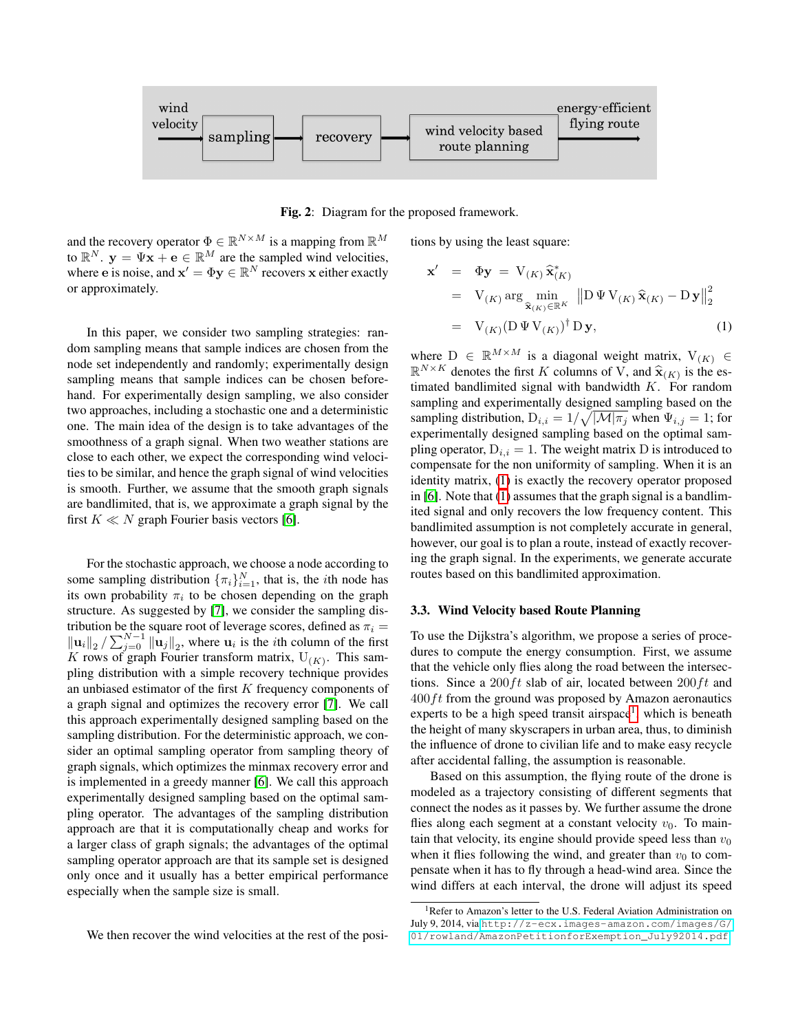<span id="page-2-0"></span>

Fig. 2: Diagram for the proposed framework.

and the recovery operator  $\Phi \in \mathbb{R}^{N \times M}$  is a mapping from  $\mathbb{R}^M$ to  $\mathbb{R}^N$ .  $y = \Psi x + e \in \mathbb{R}^M$  are the sampled wind velocities, where e is noise, and  $\mathbf{x}' = \Phi \mathbf{y} \in \mathbb{R}^N$  recovers x either exactly or approximately.

In this paper, we consider two sampling strategies: random sampling means that sample indices are chosen from the node set independently and randomly; experimentally design sampling means that sample indices can be chosen beforehand. For experimentally design sampling, we also consider two approaches, including a stochastic one and a deterministic one. The main idea of the design is to take advantages of the smoothness of a graph signal. When two weather stations are close to each other, we expect the corresponding wind velocities to be similar, and hence the graph signal of wind velocities is smooth. Further, we assume that the smooth graph signals are bandlimited, that is, we approximate a graph signal by the first  $K \ll N$  graph Fourier basis vectors [\[6\]](#page-6-5).

For the stochastic approach, we choose a node according to some sampling distribution  $\{\pi_i\}_{i=1}^N$ , that is, the *i*th node has its own probability  $\pi_i$  to be chosen depending on the graph structure. As suggested by [\[7\]](#page-6-6), we consider the sampling distribution be the square root of leverage scores, defined as  $\pi_i =$  $\|\mathbf{u}_i\|_2 / \sum_{j=0}^{N-1} \|\mathbf{u}_j\|_2$ , where  $\mathbf{u}_i$  is the *i*th column of the first K rows of graph Fourier transform matrix,  $U_{(K)}$ . This sampling distribution with a simple recovery technique provides an unbiased estimator of the first  $K$  frequency components of a graph signal and optimizes the recovery error [\[7\]](#page-6-6). We call this approach experimentally designed sampling based on the sampling distribution. For the deterministic approach, we consider an optimal sampling operator from sampling theory of graph signals, which optimizes the minmax recovery error and is implemented in a greedy manner [\[6\]](#page-6-5). We call this approach experimentally designed sampling based on the optimal sampling operator. The advantages of the sampling distribution approach are that it is computationally cheap and works for a larger class of graph signals; the advantages of the optimal sampling operator approach are that its sample set is designed only once and it usually has a better empirical performance especially when the sample size is small.

We then recover the wind velocities at the rest of the posi-

tions by using the least square:

<span id="page-2-1"></span>
$$
\mathbf{x}' = \Phi \mathbf{y} = \mathbf{V}_{(K)} \hat{\mathbf{x}}_{(K)}^*
$$
\n
$$
= \mathbf{V}_{(K)} \arg \min_{\hat{\mathbf{x}}_{(K)} \in \mathbb{R}^K} \| \mathbf{D} \Psi \mathbf{V}_{(K)} \hat{\mathbf{x}}_{(K)} - \mathbf{D} \mathbf{y} \|_2^2
$$
\n
$$
= \mathbf{V}_{(K)} (\mathbf{D} \Psi \mathbf{V}_{(K)})^\dagger \mathbf{D} \mathbf{y}, \tag{1}
$$

where  $D \in \mathbb{R}^{M \times M}$  is a diagonal weight matrix,  $V_{(K)} \in$  $\mathbb{R}^{N \times K}$  denotes the first K columns of V, and  $\hat{\mathbf{x}}_{(K)}$  is the es-<br>timeted bondlimited signal with bandwidth K. For random timated bandlimited signal with bandwidth K. For random sampling and experimentally designed sampling based on the sampling distribution,  $D_{i,i} = 1/\sqrt{|\mathcal{M}|\pi_j}$  when  $\Psi_{i,j} = 1$ ; for experimentally designed sampling based on the optimal sampling operator,  $D_{i,i} = 1$ . The weight matrix D is introduced to compensate for the non uniformity of sampling. When it is an identity matrix, [\(1\)](#page-2-1) is exactly the recovery operator proposed in [\[6\]](#page-6-5). Note that [\(1\)](#page-2-1) assumes that the graph signal is a bandlimited signal and only recovers the low frequency content. This bandlimited assumption is not completely accurate in general, however, our goal is to plan a route, instead of exactly recovering the graph signal. In the experiments, we generate accurate routes based on this bandlimited approximation.

#### 3.3. Wind Velocity based Route Planning

To use the Dijkstra's algorithm, we propose a series of procedures to compute the energy consumption. First, we assume that the vehicle only flies along the road between the intersections. Since a 200 ft slab of air, located between  $200 \, ft$  and  $400 \, \text{ft}$  from the ground was proposed by Amazon aeronautics experts to be a high speed transit airspace<sup>[1](#page-2-2)</sup>, which is beneath the height of many skyscrapers in urban area, thus, to diminish the influence of drone to civilian life and to make easy recycle after accidental falling, the assumption is reasonable.

Based on this assumption, the flying route of the drone is modeled as a trajectory consisting of different segments that connect the nodes as it passes by. We further assume the drone flies along each segment at a constant velocity  $v_0$ . To maintain that velocity, its engine should provide speed less than  $v_0$ when it flies following the wind, and greater than  $v_0$  to compensate when it has to fly through a head-wind area. Since the wind differs at each interval, the drone will adjust its speed

<span id="page-2-2"></span><sup>&</sup>lt;sup>1</sup>Refer to Amazon's letter to the U.S. Federal Aviation Administration on July 9, 2014, via [http://z-ecx.images-amazon.com/images/G/](http://z-ecx.images-amazon.com/images/G/01/rowland/AmazonPetitionforExemption_July92014.pdf) [01/rowland/AmazonPetitionforExemption\\_July92014.pdf](http://z-ecx.images-amazon.com/images/G/01/rowland/AmazonPetitionforExemption_July92014.pdf)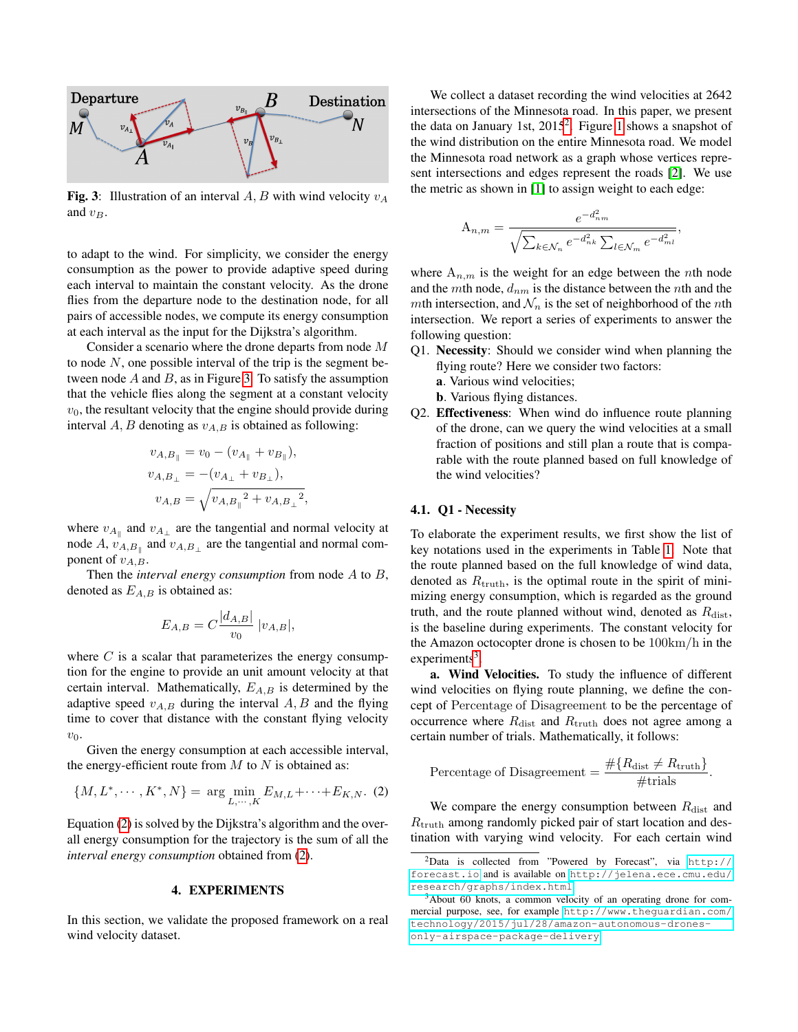<span id="page-3-0"></span>

Fig. 3: Illustration of an interval A, B with wind velocity  $v_A$ and  $v_B$ .

to adapt to the wind. For simplicity, we consider the energy consumption as the power to provide adaptive speed during each interval to maintain the constant velocity. As the drone flies from the departure node to the destination node, for all pairs of accessible nodes, we compute its energy consumption at each interval as the input for the Dijkstra's algorithm.

Consider a scenario where the drone departs from node M to node  $N$ , one possible interval of the trip is the segment between node  $A$  and  $B$ , as in Figure [3.](#page-3-0) To satisfy the assumption that the vehicle flies along the segment at a constant velocity  $v<sub>0</sub>$ , the resultant velocity that the engine should provide during interval  $A, B$  denoting as  $v_{A,B}$  is obtained as following:

$$
v_{A,B_{\parallel}} = v_0 - (v_{A_{\parallel}} + v_{B_{\parallel}}),
$$
  
\n
$$
v_{A,B_{\perp}} = -(v_{A_{\perp}} + v_{B_{\perp}}),
$$
  
\n
$$
v_{A,B} = \sqrt{v_{A,B_{\parallel}}^2 + v_{A,B_{\perp}}^2},
$$

where  $v_{A_{\parallel}}$  and  $v_{A_{\perp}}$  are the tangential and normal velocity at node A,  $v_{A,B_{\parallel}}$  and  $v_{A,B_{\perp}}$  are the tangential and normal component of  $v_{A,B}$ .

Then the *interval energy consumption* from node A to B, denoted as  $E_{A,B}$  is obtained as:

$$
E_{A,B} = C \frac{|d_{A,B}|}{v_0} |v_{A,B}|,
$$

where  $C$  is a scalar that parameterizes the energy consumption for the engine to provide an unit amount velocity at that certain interval. Mathematically,  $E_{A,B}$  is determined by the adaptive speed  $v_{A,B}$  during the interval  $A, B$  and the flying time to cover that distance with the constant flying velocity  $v_0$ .

Given the energy consumption at each accessible interval, the energy-efficient route from  $M$  to  $N$  is obtained as:

<span id="page-3-1"></span>
$$
\{M, L^*, \cdots, K^*, N\} = \arg \min_{L, \cdots, K} E_{M,L} + \cdots + E_{K,N}.
$$
 (2)

Equation [\(2\)](#page-3-1) is solved by the Dijkstra's algorithm and the overall energy consumption for the trajectory is the sum of all the *interval energy consumption* obtained from [\(2\)](#page-3-1).

## 4. EXPERIMENTS

In this section, we validate the proposed framework on a real wind velocity dataset.

We collect a dataset recording the wind velocities at 2642 intersections of the Minnesota road. In this paper, we present the data on January 1st, [2](#page-3-2)015<sup>2</sup>. Figure [1](#page-1-0) shows a snapshot of the wind distribution on the entire Minnesota road. We model the Minnesota road network as a graph whose vertices represent intersections and edges represent the roads [\[2\]](#page-6-1). We use the metric as shown in [\[1\]](#page-6-0) to assign weight to each edge:

$$
A_{n,m} = \frac{e^{-d_{nm}^2}}{\sqrt{\sum_{k \in \mathcal{N}_n} e^{-d_{nk}^2} \sum_{l \in \mathcal{N}_m} e^{-d_{ml}^2}}},
$$

where  $A_{n,m}$  is the weight for an edge between the *n*th node and the mth node,  $d_{nm}$  is the distance between the nth and the mth intersection, and  $\mathcal{N}_n$  is the set of neighborhood of the nth intersection. We report a series of experiments to answer the following question:

- Q1. Necessity: Should we consider wind when planning the flying route? Here we consider two factors:
	- a. Various wind velocities;
	- b. Various flying distances.
- Q2. Effectiveness: When wind do influence route planning of the drone, can we query the wind velocities at a small fraction of positions and still plan a route that is comparable with the route planned based on full knowledge of the wind velocities?

# <span id="page-3-4"></span>4.1. Q1 - Necessity

To elaborate the experiment results, we first show the list of key notations used in the experiments in Table [1.](#page-4-0) Note that the route planned based on the full knowledge of wind data, denoted as  $R_{\text{truth}}$ , is the optimal route in the spirit of minimizing energy consumption, which is regarded as the ground truth, and the route planned without wind, denoted as  $R_{\text{dist}}$ , is the baseline during experiments. The constant velocity for the Amazon octocopter drone is chosen to be 100km/h in the  $experiments<sup>3</sup>$  $experiments<sup>3</sup>$  $experiments<sup>3</sup>$ .

a. Wind Velocities. To study the influence of different wind velocities on flying route planning, we define the concept of Percentage of Disagreement to be the percentage of occurrence where  $R_{\text{dist}}$  and  $R_{\text{truth}}$  does not agree among a certain number of trials. Mathematically, it follows:

Percentage of Disagreement = 
$$
\frac{\#\{R_{\text{dist}} \neq R_{\text{truth}}\}}{\#\text{trials}}.
$$

We compare the energy consumption between  $R_{\text{dist}}$  and  $R_{\text{truth}}$  among randomly picked pair of start location and destination with varying wind velocity. For each certain wind

<span id="page-3-2"></span><sup>2</sup>Data is collected from "Powered by Forecast", via [http://](http://forecast.io) [forecast.io](http://forecast.io) and is available on [http://jelena.ece.cmu.edu/](http://jelena.ece.cmu.edu/research/graphs/index.html) [research/graphs/index.html](http://jelena.ece.cmu.edu/research/graphs/index.html).

<span id="page-3-3"></span><sup>3</sup>About 60 knots, a common velocity of an operating drone for commercial purpose, see, for example [http://www.theguardian.com/](http://www.theguardian.com/technology/2015/jul/28/amazon-autonomous-drones-only-airspace-package-delivery) [technology/2015/jul/28/amazon-autonomous-drones](http://www.theguardian.com/technology/2015/jul/28/amazon-autonomous-drones-only-airspace-package-delivery)[only-airspace-package-delivery](http://www.theguardian.com/technology/2015/jul/28/amazon-autonomous-drones-only-airspace-package-delivery)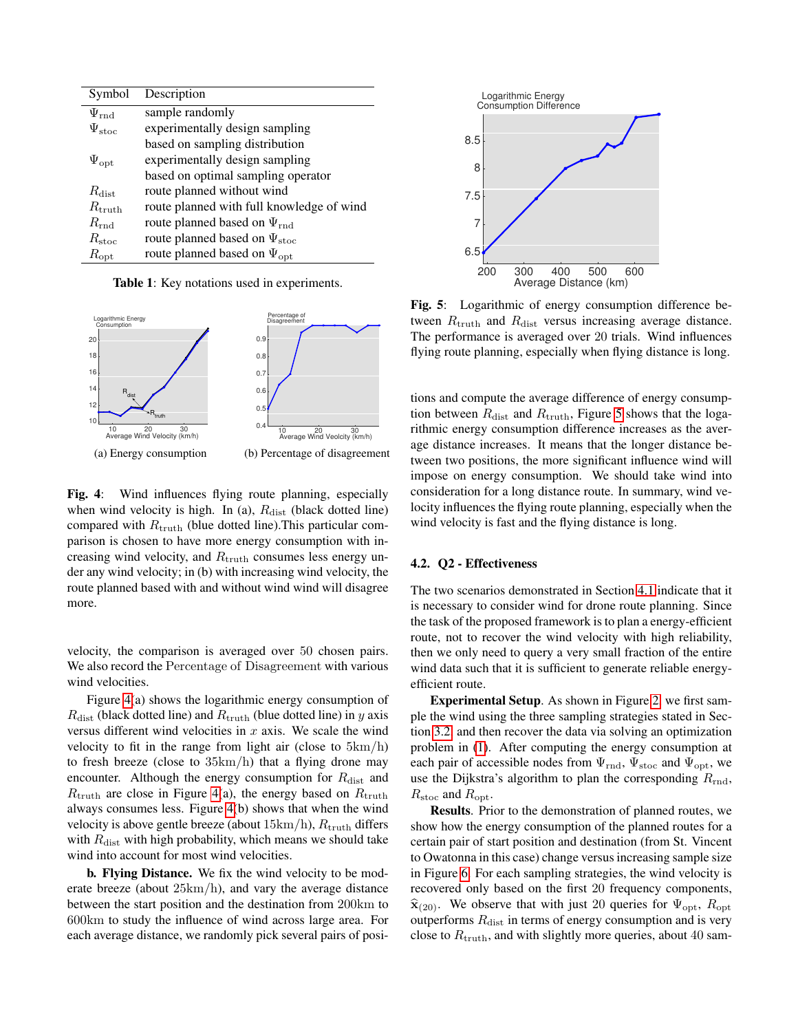<span id="page-4-0"></span>

| Symbol             | Description                               |
|--------------------|-------------------------------------------|
| $\Psi_{\rm rnd}$   | sample randomly                           |
| $\Psi_{\rm stoc}$  | experimentally design sampling            |
|                    | based on sampling distribution            |
| $\Psi_{\rm opt}$   | experimentally design sampling            |
|                    | based on optimal sampling operator        |
| $R_{\rm dist}$     | route planned without wind                |
| $R_{\rm truth}$    | route planned with full knowledge of wind |
| $R_{\rm rnd}$      | route planned based on $\Psi_{\rm rnd}$   |
| $R_{\rm stoc}$     | route planned based on $\Psi_{\rm stoc}$  |
| $R_{\mathrm{opt}}$ | route planned based on $\Psi_{\rm opt}$   |

Table 1: Key notations used in experiments.

<span id="page-4-1"></span>

Fig. 4: Wind influences flying route planning, especially when wind velocity is high. In (a),  $R_{\text{dist}}$  (black dotted line) compared with  $R_{\text{truth}}$  (blue dotted line). This particular comparison is chosen to have more energy consumption with increasing wind velocity, and  $R_{\text{truth}}$  consumes less energy under any wind velocity; in (b) with increasing wind velocity, the route planned based with and without wind wind will disagree more.

velocity, the comparison is averaged over 50 chosen pairs. We also record the Percentage of Disagreement with various wind velocities.

Figure [4\(](#page-4-1)a) shows the logarithmic energy consumption of  $R_{\text{dist}}$  (black dotted line) and  $R_{\text{truth}}$  (blue dotted line) in y axis versus different wind velocities in  $x$  axis. We scale the wind velocity to fit in the range from light air (close to 5km/h) to fresh breeze (close to 35km/h) that a flying drone may encounter. Although the energy consumption for  $R_{\text{dist}}$  and  $R_{\text{truth}}$  are close in Figure [4\(](#page-4-1)a), the energy based on  $R_{\text{truth}}$ always consumes less. Figure [4\(](#page-4-1)b) shows that when the wind velocity is above gentle breeze (about  $15 \text{km/h}$ ),  $R_{\text{truth}}$  differs with  $R_{\text{dist}}$  with high probability, which means we should take wind into account for most wind velocities.

b. Flying Distance. We fix the wind velocity to be moderate breeze (about 25km/h), and vary the average distance between the start position and the destination from 200km to 600km to study the influence of wind across large area. For each average distance, we randomly pick several pairs of posi-

<span id="page-4-2"></span>

Fig. 5: Logarithmic of energy consumption difference between  $R_{\text{truth}}$  and  $R_{\text{dist}}$  versus increasing average distance. The performance is averaged over 20 trials. Wind influences flying route planning, especially when flying distance is long.

tions and compute the average difference of energy consumption between  $R_{\text{dist}}$  and  $R_{\text{truth}}$ , Figure [5](#page-4-2) shows that the logarithmic energy consumption difference increases as the average distance increases. It means that the longer distance between two positions, the more significant influence wind will impose on energy consumption. We should take wind into consideration for a long distance route. In summary, wind velocity influences the flying route planning, especially when the wind velocity is fast and the flying distance is long.

#### 4.2. Q2 - Effectiveness

The two scenarios demonstrated in Section [4.1](#page-3-4) indicate that it is necessary to consider wind for drone route planning. Since the task of the proposed framework is to plan a energy-efficient route, not to recover the wind velocity with high reliability, then we only need to query a very small fraction of the entire wind data such that it is sufficient to generate reliable energyefficient route.

Experimental Setup. As shown in Figure [2,](#page-2-0) we first sample the wind using the three sampling strategies stated in Section [3.2,](#page-1-1) and then recover the data via solving an optimization problem in [\(1\)](#page-2-1). After computing the energy consumption at each pair of accessible nodes from  $\Psi_{\rm rnd}$ ,  $\Psi_{\rm stoc}$  and  $\Psi_{\rm opt}$ , we use the Dijkstra's algorithm to plan the corresponding  $R_{\text{rnd}}$ ,  $R_{\rm stoc}$  and  $R_{\rm opt}$ .

Results. Prior to the demonstration of planned routes, we show how the energy consumption of the planned routes for a certain pair of start position and destination (from St. Vincent to Owatonna in this case) change versus increasing sample size in Figure [6.](#page-5-0) For each sampling strategies, the wind velocity is recovered only based on the first 20 frequency components,  $\hat{\mathbf{x}}_{(20)}$ . We observe that with just 20 queries for  $\Psi_{\text{opt}}$ ,  $R_{\text{opt}}$ outperforms  $R_{\text{dist}}$  in terms of energy consumption and is very close to  $R_{\text{truth}}$ , and with slightly more queries, about 40 sam-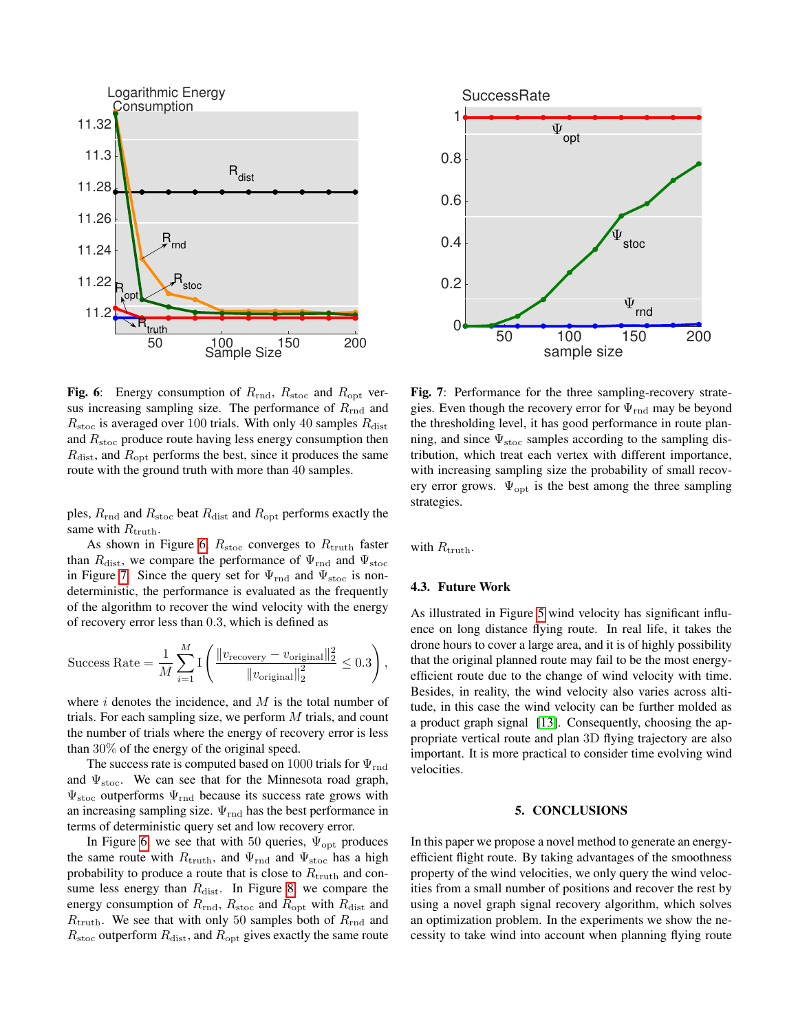<span id="page-5-0"></span>

Fig. 6: Energy consumption of  $R_{\text{rnd}}$ ,  $R_{\text{stoc}}$  and  $R_{\text{opt}}$  versus increasing sampling size. The performance of  $R_{\rm rnd}$  and  $R_{\rm stoc}$  is averaged over 100 trials. With only 40 samples  $R_{\rm dist}$ and  $R_{\rm stoc}$  produce route having less energy consumption then  $R_{\text{dist}}$ , and  $R_{\text{opt}}$  performs the best, since it produces the same route with the ground truth with more than 40 samples.

ples,  $R_{\text{rnd}}$  and  $R_{\text{stoc}}$  beat  $R_{\text{dist}}$  and  $R_{\text{opt}}$  performs exactly the same with  $R_{\text{truth}}$ .

As shown in Figure [6,](#page-5-0)  $R_{\text{stoc}}$  converges to  $R_{\text{truth}}$  faster than  $R_{dist}$ , we compare the performance of  $\Psi_{rnd}$  and  $\Psi_{stoc}$ in Figure [7.](#page-5-1) Since the query set for  $\Psi_{\rm rnd}$  and  $\Psi_{\rm stoc}$  is nondeterministic, the performance is evaluated as the frequently of the algorithm to recover the wind velocity with the energy of recovery error less than 0.3, which is defined as

$$
\text{Success Rate} = \frac{1}{M} \sum_{i=1}^{M} \text{I}\left(\frac{\|v_{\text{recovery}} - v_{\text{original}}\|_2^2}{\|v_{\text{original}}\|_2^2} \le 0.3\right),
$$

where  $i$  denotes the incidence, and  $M$  is the total number of trials. For each sampling size, we perform  $M$  trials, and count the number of trials where the energy of recovery error is less than 30% of the energy of the original speed.

The success rate is computed based on 1000 trials for  $\Psi_{\rm rnd}$ and  $\Psi_{\text{stoc}}$ . We can see that for the Minnesota road graph,  $\Psi_{\rm stoc}$  outperforms  $\Psi_{\rm rnd}$  because its success rate grows with an increasing sampling size.  $\Psi_{\rm rnd}$  has the best performance in terms of deterministic query set and low recovery error.

In Figure [6,](#page-5-0) we see that with 50 queries,  $\Psi_{\text{opt}}$  produces the same route with  $R_{\text{truth}}$ , and  $\Psi_{\text{rnd}}$  and  $\Psi_{\text{stoc}}$  has a high probability to produce a route that is close to  $R_{\text{truth}}$  and consume less energy than  $R_{\text{dist}}$ . In Figure [8,](#page-6-12) we compare the energy consumption of  $R_{\text{rnd}}$ ,  $R_{\text{stoc}}$  and  $R_{\text{opt}}$  with  $R_{\text{dist}}$  and  $R_{\text{truth}}$ . We see that with only 50 samples both of  $R_{\text{rnd}}$  and  $R_{\rm stoc}$  outperform  $R_{\rm dist}$ , and  $R_{\rm opt}$  gives exactly the same route

<span id="page-5-1"></span>

Fig. 7: Performance for the three sampling-recovery strategies. Even though the recovery error for  $\Psi_{\text{rnd}}$  may be beyond the thresholding level, it has good performance in route planning, and since  $\Psi_{\rm stoc}$  samples according to the sampling distribution, which treat each vertex with different importance, with increasing sampling size the probability of small recovery error grows.  $\Psi_{\text{opt}}$  is the best among the three sampling strategies.

with  $R_{\text{truth}}$ .

# 4.3. Future Work

As illustrated in Figure [5](#page-4-2) wind velocity has significant influence on long distance flying route. In real life, it takes the drone hours to cover a large area, and it is of highly possibility that the original planned route may fail to be the most energyefficient route due to the change of wind velocity with time. Besides, in reality, the wind velocity also varies across altitude, in this case the wind velocity can be further molded as a product graph signal [\[13\]](#page-6-13). Consequently, choosing the appropriate vertical route and plan 3D flying trajectory are also important. It is more practical to consider time evolving wind velocities.

## 5. CONCLUSIONS

In this paper we propose a novel method to generate an energyefficient flight route. By taking advantages of the smoothness property of the wind velocities, we only query the wind velocities from a small number of positions and recover the rest by using a novel graph signal recovery algorithm, which solves an optimization problem. In the experiments we show the necessity to take wind into account when planning flying route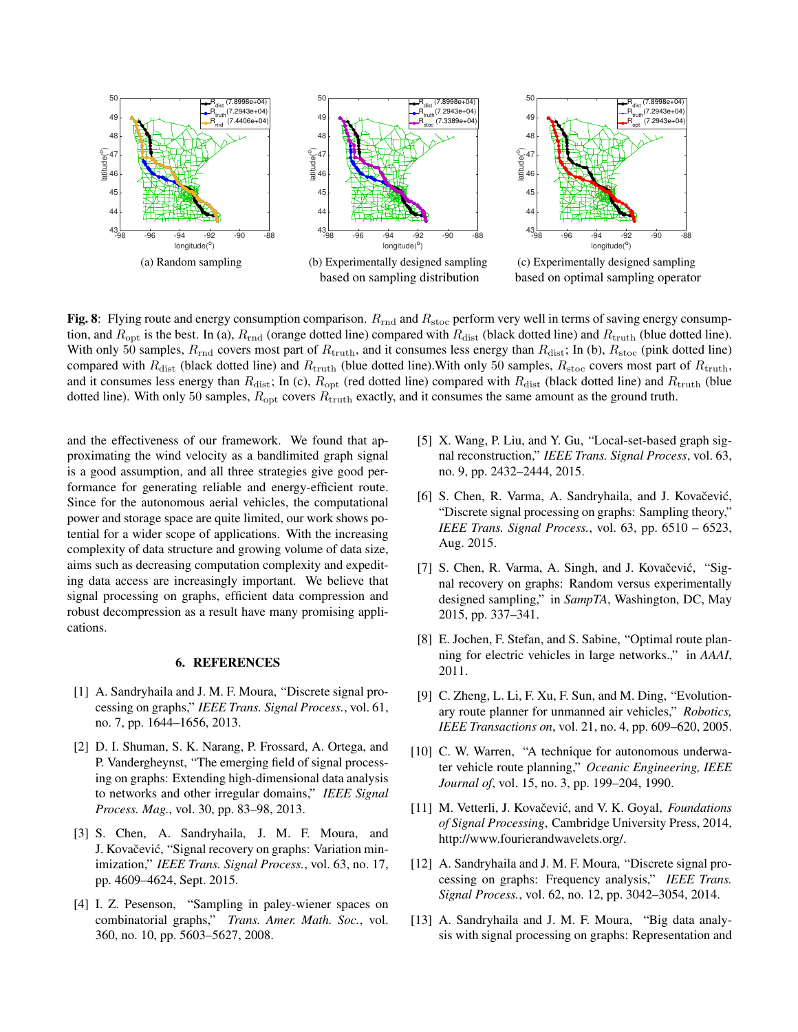<span id="page-6-12"></span>

Fig. 8: Flying route and energy consumption comparison.  $R_{\text{rnd}}$  and  $R_{\text{stoc}}$  perform very well in terms of saving energy consumption, and  $R_{\rm opt}$  is the best. In (a),  $R_{\rm rnd}$  (orange dotted line) compared with  $R_{\rm dist}$  (black dotted line) and  $R_{\rm truth}$  (blue dotted line). With only 50 samples,  $R_{\rm rnd}$  covers most part of  $R_{\rm truth}$ , and it consumes less energy than  $R_{\rm dist}$ ; In (b),  $R_{\rm stoc}$  (pink dotted line) compared with  $R_{\text{dist}}$  (black dotted line) and  $R_{\text{truth}}$  (blue dotted line). With only 50 samples,  $R_{\text{stock}}$  covers most part of  $R_{\text{truth}}$ , and it consumes less energy than  $R_{\text{dist}}$ ; In (c),  $R_{\text{opt}}$  (red dotted line) compared with  $R_{\text{dist}}$  (black dotted line) and  $R_{\text{truth}}$  (blue dotted line). With only 50 samples,  $R_{opt}$  covers  $R_{truth}$  exactly, and it consumes the same amount as the ground truth.

and the effectiveness of our framework. We found that approximating the wind velocity as a bandlimited graph signal is a good assumption, and all three strategies give good performance for generating reliable and energy-efficient route. Since for the autonomous aerial vehicles, the computational power and storage space are quite limited, our work shows potential for a wider scope of applications. With the increasing complexity of data structure and growing volume of data size, aims such as decreasing computation complexity and expediting data access are increasingly important. We believe that signal processing on graphs, efficient data compression and robust decompression as a result have many promising applications.

#### 6. REFERENCES

- <span id="page-6-0"></span>[1] A. Sandryhaila and J. M. F. Moura, "Discrete signal processing on graphs," *IEEE Trans. Signal Process.*, vol. 61, no. 7, pp. 1644–1656, 2013.
- <span id="page-6-1"></span>[2] D. I. Shuman, S. K. Narang, P. Frossard, A. Ortega, and P. Vandergheynst, "The emerging field of signal processing on graphs: Extending high-dimensional data analysis to networks and other irregular domains," *IEEE Signal Process. Mag.*, vol. 30, pp. 83–98, 2013.
- <span id="page-6-2"></span>[3] S. Chen, A. Sandryhaila, J. M. F. Moura, and J. Kovačević, "Signal recovery on graphs: Variation minimization," *IEEE Trans. Signal Process.*, vol. 63, no. 17, pp. 4609–4624, Sept. 2015.
- <span id="page-6-3"></span>[4] I. Z. Pesenson, "Sampling in paley-wiener spaces on combinatorial graphs," *Trans. Amer. Math. Soc.*, vol. 360, no. 10, pp. 5603–5627, 2008.
- <span id="page-6-4"></span>[5] X. Wang, P. Liu, and Y. Gu, "Local-set-based graph signal reconstruction," *IEEE Trans. Signal Process*, vol. 63, no. 9, pp. 2432–2444, 2015.
- <span id="page-6-5"></span>[6] S. Chen, R. Varma, A. Sandryhaila, and J. Kovačević, "Discrete signal processing on graphs: Sampling theory," *IEEE Trans. Signal Process.*, vol. 63, pp. 6510 – 6523, Aug. 2015.
- <span id="page-6-6"></span>[7] S. Chen, R. Varma, A. Singh, and J. Kovačević, "Signal recovery on graphs: Random versus experimentally designed sampling," in *SampTA*, Washington, DC, May 2015, pp. 337–341.
- <span id="page-6-7"></span>[8] E. Jochen, F. Stefan, and S. Sabine, "Optimal route planning for electric vehicles in large networks.," in *AAAI*, 2011.
- <span id="page-6-8"></span>[9] C. Zheng, L. Li, F. Xu, F. Sun, and M. Ding, "Evolutionary route planner for unmanned air vehicles," *Robotics, IEEE Transactions on*, vol. 21, no. 4, pp. 609–620, 2005.
- <span id="page-6-9"></span>[10] C. W. Warren, "A technique for autonomous underwater vehicle route planning," *Oceanic Engineering, IEEE Journal of*, vol. 15, no. 3, pp. 199–204, 1990.
- <span id="page-6-10"></span>[11] M. Vetterli, J. Kovačević, and V. K. Goyal, *Foundations of Signal Processing*, Cambridge University Press, 2014, http://www.fourierandwavelets.org/.
- <span id="page-6-11"></span>[12] A. Sandryhaila and J. M. F. Moura, "Discrete signal processing on graphs: Frequency analysis," *IEEE Trans. Signal Process.*, vol. 62, no. 12, pp. 3042–3054, 2014.
- <span id="page-6-13"></span>[13] A. Sandryhaila and J. M. F. Moura, "Big data analysis with signal processing on graphs: Representation and